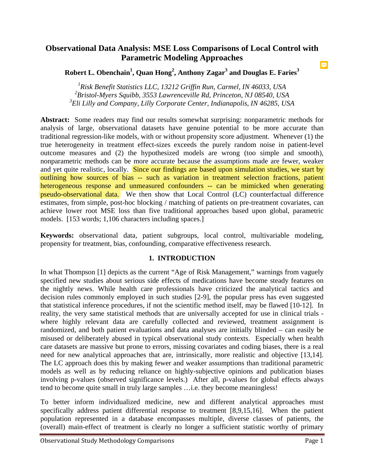#### **Observational Data Analysis: MSE Loss Comparisons of Local Control with Parametric Modeling Approaches**  E

**Robert L. Obenchain1 , Quan Hong<sup>2</sup> , Anthony Zagar<sup>3</sup> and Douglas E. Faries3**

<sup>1</sup> Risk Benefit Statistics LLC, 13212 Griffin Run, Carmel, IN 46033, USA *2 Bristol-Myers Squibb, 3553 Lawrenceville Rd, Princeton, NJ 08540, USA 3 Eli Lilly and Company, Lilly Corporate Center, Indianapolis, IN 46285, USA* 

**Abstract:** Some readers may find our results somewhat surprising: nonparametric methods for analysis of large, observational datasets have genuine potential to be more accurate than traditional regression-like models, with or without propensity score adjustment. Whenever (1) the true heterogeneity in treatment effect-sizes exceeds the purely random noise in patient-level outcome measures and (2) the hypothesized models are wrong (too simple and smooth), nonparametric methods can be more accurate because the assumptions made are fewer, weaker and yet quite realistic, locally. Since our findings are based upon simulation studies, we start by outlining how sources of bias -- such as variation in treatment selection fractions, patient heterogeneous response and unmeasured confounders -- can be mimicked when generating pseudo-observational data. We then show that Local Control (LC) counterfactual difference estimates, from simple, post-hoc blocking / matching of patients on pre-treatment covariates, can achieve lower root MSE loss than five traditional approaches based upon global, parametric models. [153 words; 1,106 characters including spaces.]

**Keywords:** observational data, patient subgroups, local control, multivariable modeling, propensity for treatment, bias, confounding, comparative effectiveness research.

#### **1. INTRODUCTION**

In what Thompson [1] depicts as the current "Age of Risk Management," warnings from vaguely specified new studies about serious side effects of medications have become steady features on the nightly news. While health care professionals have criticized the analytical tactics and decision rules commonly employed in such studies [2-9], the popular press has even suggested that statistical inference procedures, if not the scientific method itself, may be flawed [10-12]. In reality, the very same statistical methods that are universally accepted for use in clinical trials where highly relevant data are carefully collected and reviewed, treatment assignment is randomized, and both patient evaluations and data analyses are initially blinded – can easily be misused or deliberately abused in typical observational study contexts. Especially when health care datasets are massive but prone to errors, missing covariates and coding biases, there is a real need for new analytical approaches that are, intrinsically, more realistic and objective [13,14]. The LC approach does this by making fewer and weaker assumptions than traditional parametric models as well as by reducing reliance on highly-subjective opinions and publication biases involving p-values (observed significance levels.) After all, p-values for global effects always tend to become quite small in truly large samples …i.e. they become meaningless!

To better inform individualized medicine, new and different analytical approaches must specifically address patient differential response to treatment [8,9,15,16]. When the patient population represented in a database encompasses multiple, diverse classes of patients, the (overall) main-effect of treatment is clearly no longer a sufficient statistic worthy of primary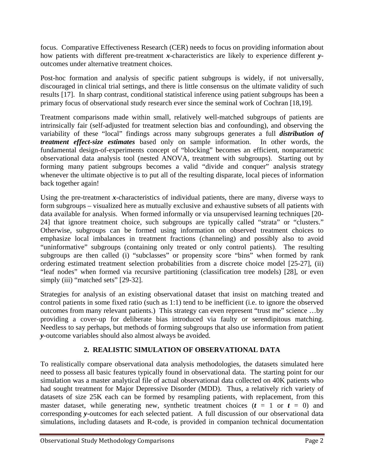focus. Comparative Effectiveness Research (CER) needs to focus on providing information about how patients with different pre-treatment *x*-characteristics are likely to experience different *y*outcomes under alternative treatment choices.

Post-hoc formation and analysis of specific patient subgroups is widely, if not universally, discouraged in clinical trial settings, and there is little consensus on the ultimate validity of such results [17]. In sharp contrast, conditional statistical inference using patient subgroups has been a primary focus of observational study research ever since the seminal work of Cochran [18,19].

Treatment comparisons made within small, relatively well-matched subgroups of patients are intrinsically fair (self-adjusted for treatment selection bias and confounding), and observing the variability of these "local" findings across many subgroups generates a full *distribution of treatment effect-size estimates* based only on sample information. In other words, the fundamental design-of-experiments concept of "blocking" becomes an efficient, nonparametric observational data analysis tool (nested ANOVA, treatment with subgroups). Starting out by forming many patient subgroups becomes a valid "divide and conquer" analysis strategy whenever the ultimate objective is to put all of the resulting disparate, local pieces of information back together again!

Using the pre-treatment *x*-characteristics of individual patients, there are many, diverse ways to form subgroups – visualized here as mutually exclusive and exhaustive subsets of all patients with data available for analysis. When formed informally or via unsupervised learning techniques [20- 24] that ignore treatment choice, such subgroups are typically called "strata" or "clusters." Otherwise, subgroups can be formed using information on observed treatment choices to emphasize local imbalances in treatment fractions (channeling) and possibly also to avoid "uninformative" subgroups (containing only treated or only control patients). The resulting subgroups are then called (i) "subclasses" or propensity score "bins" when formed by rank ordering estimated treatment selection probabilities from a discrete choice model [25-27], (ii) "leaf nodes" when formed via recursive partitioning (classification tree models) [28], or even simply (iii) "matched sets" [29-32].

Strategies for analysis of an existing observational dataset that insist on matching treated and control patients in some fixed ratio (such as 1:1) tend to be inefficient (i.e. to ignore the observed outcomes from many relevant patients.) This strategy can even represent "trust me" science …by providing a cover-up for deliberate bias introduced via faulty or serendipitous matching. Needless to say perhaps, but methods of forming subgroups that also use information from patient *y*-outcome variables should also almost always be avoided.

## **2. REALISTIC SIMULATION OF OBSERVATIONAL DATA**

To realistically compare observational data analysis methodologies, the datasets simulated here need to possess all basic features typically found in observational data. The starting point for our simulation was a master analytical file of actual observational data collected on 40K patients who had sought treatment for Major Depressive Disorder (MDD). Thus, a relatively rich variety of datasets of size 25K each can be formed by resampling patients, with replacement, from this master dataset, while generating new, synthetic treatment choices  $(t = 1 \text{ or } t = 0)$  and corresponding *y*-outcomes for each selected patient. A full discussion of our observational data simulations, including datasets and R-code, is provided in companion technical documentation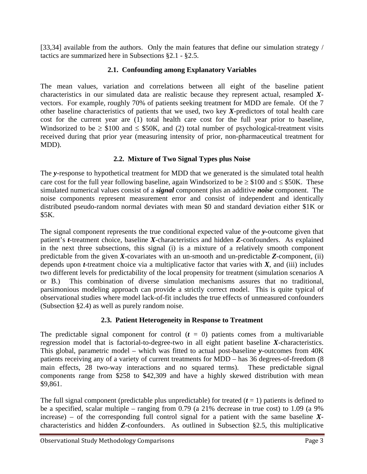[33,34] available from the authors. Only the main features that define our simulation strategy / tactics are summarized here in Subsections §2.1 - §2.5.

### **2.1. Confounding among Explanatory Variables**

The mean values, variation and correlations between all eight of the baseline patient characteristics in our simulated data are realistic because they represent actual, resampled *X*vectors. For example, roughly 70% of patients seeking treatment for MDD are female. Of the 7 other baseline characteristics of patients that we used, two key *X*-predictors of total health care cost for the current year are (1) total health care cost for the full year prior to baseline, Windsorized to be  $\geq$  \$100 and  $\leq$  \$50K, and (2) total number of psychological-treatment visits received during that prior year (measuring intensity of prior, non-pharmaceutical treatment for MDD).

#### **2.2. Mixture of Two Signal Types plus Noise**

The *y*-response to hypothetical treatment for MDD that we generated is the simulated total health care cost for the full year following baseline, again Windsorized to be  $\geq$  \$100 and  $\leq$  \$50K. These simulated numerical values consist of a *signal* component plus an additive *noise* component. The noise components represent measurement error and consist of independent and identically distributed pseudo-random normal deviates with mean \$0 and standard deviation either \$1K or \$5K.

The signal component represents the true conditional expected value of the *y-*outcome given that patient's *t*-treatment choice, baseline *X*-characteristics and hidden *Z*-confounders. As explained in the next three subsections, this signal (i) is a mixture of a relatively smooth component predictable from the given *X*-covariates with an un-smooth and un-predictable *Z*-component, (ii) depends upon  $t$ -treatment choice via a multiplicative factor that varies with  $X$ , and (iii) includes two different levels for predictability of the local propensity for treatment (simulation scenarios A or B.) This combination of diverse simulation mechanisms assures that no traditional, parsimonious modeling approach can provide a strictly correct model. This is quite typical of observational studies where model lack-of-fit includes the true effects of unmeasured confounders (Subsection §2.4) as well as purely random noise.

#### **2.3. Patient Heterogeneity in Response to Treatment**

The predictable signal component for control  $(t = 0)$  patients comes from a multivariable regression model that is factorial-to-degree-two in all eight patient baseline *X*-characteristics. This global, parametric model – which was fitted to actual post-baseline *y*-outcomes from 40K patients receiving any of a variety of current treatments for MDD – has 36 degrees-of-freedom (8 main effects, 28 two-way interactions and no squared terms). These predictable signal components range from \$258 to \$42,309 and have a highly skewed distribution with mean \$9,861.

The full signal component (predictable plus unpredictable) for treated  $(t = 1)$  patients is defined to be a specified, scalar multiple – ranging from 0.79 (a 21% decrease in true cost) to 1.09 (a 9% increase) – of the corresponding full control signal for a patient with the same baseline  $X$ characteristics and hidden *Z*-confounders. As outlined in Subsection §2.5, this multiplicative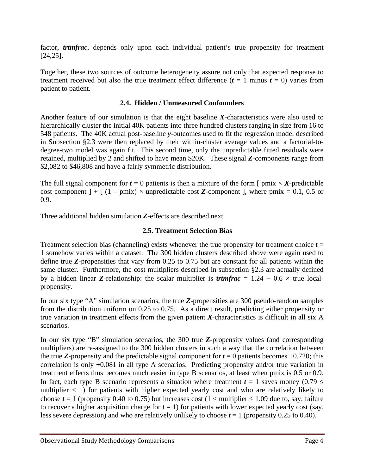factor, *trtmfrac*, depends only upon each individual patient's true propensity for treatment [24,25].

Together, these two sources of outcome heterogeneity assure not only that expected response to treatment received but also the true treatment effect difference  $(t = 1 \text{ minus } t = 0)$  varies from patient to patient.

#### **2.4. Hidden / Unmeasured Confounders**

Another feature of our simulation is that the eight baseline *X*-characteristics were also used to hierarchically cluster the initial 40K patients into three hundred clusters ranging in size from 16 to 548 patients. The 40K actual post-baseline *y*-outcomes used to fit the regression model described in Subsection §2.3 were then replaced by their within-cluster average values and a factorial-todegree-two model was again fit. This second time, only the unpredictable fitted residuals were retained, multiplied by 2 and shifted to have mean \$20K. These signal *Z*-components range from \$2,082 to \$46,808 and have a fairly symmetric distribution.

The full signal component for  $t = 0$  patients is then a mixture of the form  $\lceil \text{pmix} \times X \rceil$ -predictable cost component  $] + [ (1 - \text{pmix}) \times$  unpredictable cost **Z**-component ], where  $\text{pmix} = 0.1, 0.5$  or 0.9.

Three additional hidden simulation *Z*-effects are described next.

#### **2.5. Treatment Selection Bias**

Treatment selection bias (channeling) exists whenever the true propensity for treatment choice  $t =$ 1 somehow varies within a dataset. The 300 hidden clusters described above were again used to define true *Z*-propensities that vary from 0.25 to 0.75 but are constant for all patients within the same cluster. Furthermore, the cost multipliers described in subsection §2.3 are actually defined by a hidden linear **Z**-relationship: the scalar multiplier is *trimfrac* =  $1.24 - 0.6 \times$  true localpropensity.

In our six type "A" simulation scenarios, the true *Z*-propensities are 300 pseudo-random samples from the distribution uniform on 0.25 to 0.75. As a direct result, predicting either propensity or true variation in treatment effects from the given patient *X*-characteristics is difficult in all six A scenarios.

In our six type "B" simulation scenarios, the 300 true *Z*-propensity values (and corresponding multipliers) are re-assigned to the 300 hidden clusters in such a way that the correlation between the true **Z**-propensity and the predictable signal component for  $t = 0$  patients becomes  $+0.720$ ; this correlation is only +0.081 in all type A scenarios. Predicting propensity and/or true variation in treatment effects thus becomes much easier in type B scenarios, at least when pmix is 0.5 or 0.9. In fact, each type B scenario represents a situation where treatment  $t = 1$  saves money (0.79  $\leq$ multiplier  $<$  1) for patients with higher expected yearly cost and who are relatively likely to choose  $t = 1$  (propensity 0.40 to 0.75) but increases cost  $(1 \lt \text{multiplier} \le 1.09$  due to, say, failure to recover a higher acquisition charge for  $t = 1$ ) for patients with lower expected yearly cost (say, less severe depression) and who are relatively unlikely to choose  $t = 1$  (propensity 0.25 to 0.40).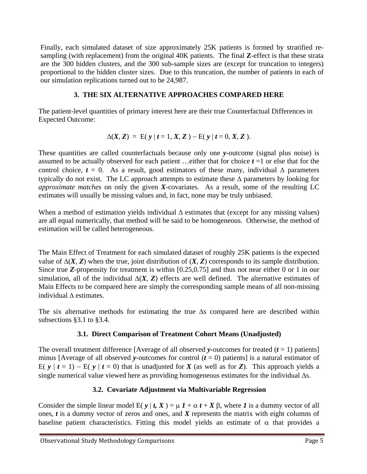Finally, each simulated dataset of size approximately 25K patients is formed by stratified resampling (with replacement) from the original 40K patients. The final **Z**-effect is that these strata are the 300 hidden clusters, and the 300 sub-sample sizes are (except for truncation to integers) proportional to the hidden cluster sizes. Due to this truncation, the number of patients in each of our simulation replications turned out to be 24,987.

## **3. THE SIX ALTERNATIVE APPROACHES COMPARED HERE**

The patient-level quantities of primary interest here are their true Counterfactual Differences in Expected Outcome:

$$
\Delta(X, Z) = E(y | t = 1, X, Z) - E(y | t = 0, X, Z).
$$

These quantities are called counterfactuals because only one *y*-outcome (signal plus noise) is assumed to be actually observed for each patient …either that for choice *t* =1 or else that for the control choice,  $t = 0$ . As a result, good estimators of these many, individual  $\Delta$  parameters typically do not exist. The LC approach attempts to estimate these  $\Delta$  parameters by looking for *approximate matches* on only the given *X*-covariates. As a result, some of the resulting LC estimates will usually be missing values and, in fact, none may be truly unbiased.

When a method of estimation yields individual  $\Delta$  estimates that (except for any missing values) are all equal numerically, that method will be said to be homogeneous. Otherwise, the method of estimation will be called heterogeneous.

The Main Effect of Treatment for each simulated dataset of roughly 25K patients is the expected value of  $\Delta(X, Z)$  when the true, joint distribution of  $(X, Z)$  corresponds to its sample distribution. Since true *Z*-propensity for treatment is within [0.25,0.75] and thus not near either 0 or 1 in our simulation, all of the individual  $\Delta(X, Z)$  effects are well defined. The alternative estimates of Main Effects to be compared here are simply the corresponding sample means of all non-missing individual  $\Lambda$  estimates.

The six alternative methods for estimating the true  $\Delta s$  compared here are described within subsections §3.1 to §3.4.

# **3.1. Direct Comparison of Treatment Cohort Means (Unadjusted)**

The overall treatment difference [Average of all observed  $\gamma$ -outcomes for treated ( $t = 1$ ) patients] minus [Average of all observed *y*-outcomes for control  $(t = 0)$  patients] is a natural estimator of E( $y \mid t = 1$ ) – E( $y \mid t = 0$ ) that is unadjusted for *X* (as well as for *Z*). This approach yields a single numerical value viewed here as providing homogeneous estimates for the individual  $\Delta s$ .

## **3.2. Covariate Adjustment via Multivariable Regression**

Consider the simple linear model  $E(y | t, X) = \mu I + \alpha t + X \beta$ , where *I* is a dummy vector of all ones, *t* is a dummy vector of zeros and ones, and *X* represents the matrix with eight columns of baseline patient characteristics. Fitting this model yields an estimate of  $\alpha$  that provides a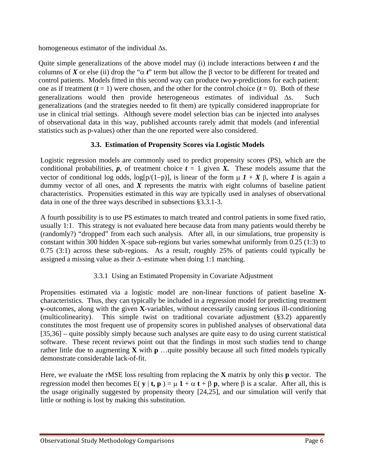homogeneous estimator of the individual  $\Delta s$ .

Quite simple generalizations of the above model may (i) include interactions between *t* and the columns of *X* or else (ii) drop the " $\alpha$  *t*" term but allow the  $\beta$  vector to be different for treated and control patients. Models fitted in this second way can produce two *y*-predictions for each patient: one as if treatment  $(t = 1)$  were chosen, and the other for the control choice  $(t = 0)$ . Both of these generalizations would then provide heterogeneous estimates of individual  $\Delta s$ . Such generalizations (and the strategies needed to fit them) are typically considered inappropriate for use in clinical trial settings. Although severe model selection bias can be injected into analyses of observational data in this way, published accounts rarely admit that models (and inferential statistics such as p-values) other than the one reported were also considered.

# **3.3. Estimation of Propensity Scores via Logistic Models**

Logistic regression models are commonly used to predict propensity scores (PS), which are the conditional probabilities, **p**, of treatment choice  $t = 1$  given X. These models assume that the vector of conditional log odds,  $log[p/(1-p)]$ , is linear of the form  $\mu$  *1* + *X*  $\beta$ , where *1* is again a dummy vector of all ones, and *X* represents the matrix with eight columns of baseline patient characteristics. Propensities estimated in this way are typically used in analyses of observational data in one of the three ways described in subsections §3.3.1-3.

A fourth possibility is to use PS estimates to match treated and control patients in some fixed ratio, usually 1:1. This strategy is not evaluated here because data from many patients would thereby be (randomly?) "dropped" from each such analysis. After all, in our simulations, true propensity is constant within 300 hidden X-space sub-regions but varies somewhat uniformly from 0.25 (1:3) to 0.75 (3:1) across these sub-regions. As a result, roughly 25% of patients could typically be assigned a missing value as their  $\Delta$ -estimate when doing 1:1 matching.

# 3.3.1 Using an Estimated Propensity in Covariate Adjustment

Propensities estimated via a logistic model are non-linear functions of patient baseline **X**characteristics. Thus, they can typically be included in a regression model for predicting treatment **y**-outcomes, along with the given **X**-variables, without necessarily causing serious ill-conditioning (multicolinearity). This simple twist on traditional covariate adjustment (§3.2) apparently constitutes the most frequent use of propensity scores in published analyses of observational data [35,36] – quite possibly simply because such analyses are quite easy to do using current statistical software. These recent reviews point out that the findings in most such studies tend to change rather little due to augmenting **X** with **p** …quite possibly because all such fitted models typically demonstrate considerable lack-of-fit.

Here, we evaluate the rMSE loss resulting from replacing the **X** matrix by only this **p** vector. The regression model then becomes  $E(\mathbf{y} | \mathbf{t}, \mathbf{p}) = \mu \mathbf{1} + \alpha \mathbf{t} + \beta \mathbf{p}$ , where  $\beta$  is a scalar. After all, this is the usage originally suggested by propensity theory [24,25], and our simulation will verify that little or nothing is lost by making this substitution.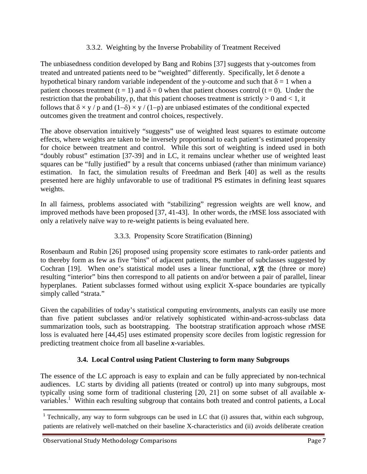### 3.3.2. Weighting by the Inverse Probability of Treatment Received

The unbiasedness condition developed by Bang and Robins [37] suggests that y-outcomes from treated and untreated patients need to be "weighted" differently. Specifically, let  $\delta$  denote a hypothetical binary random variable independent of the y-outcome and such that  $\delta = 1$  when a patient chooses treatment (t = 1) and  $\delta = 0$  when that patient chooses control (t = 0). Under the restriction that the probability, p, that this patient chooses treatment is strictly  $> 0$  and  $< 1$ , it follows that  $\delta \times \gamma / p$  and  $(1-\delta) \times \gamma / (1-p)$  are unbiased estimates of the conditional expected outcomes given the treatment and control choices, respectively.

The above observation intuitively "suggests" use of weighted least squares to estimate outcome effects, where weights are taken to be inversely proportional to each patient's estimated propensity for choice between treatment and control. While this sort of weighting is indeed used in both "doubly robust" estimation [37-39] and in LC, it remains unclear whether use of weighted least squares can be "fully justified" by a result that concerns unbiased (rather than minimum variance) estimation. In fact, the simulation results of Freedman and Berk [40] as well as the results presented here are highly unfavorable to use of traditional PS estimates in defining least squares weights.

In all fairness, problems associated with "stabilizing" regression weights are well know, and improved methods have been proposed [37, 41-43]. In other words, the rMSE loss associated with only a relatively naïve way to re-weight patients is being evaluated here.

### 3.3.3. Propensity Score Stratification (Binning)

Rosenbaum and Rubin [26] proposed using propensity score estimates to rank-order patients and to thereby form as few as five "bins" of adjacent patients, the number of subclasses suggested by Cochran [19]. When one's statistical model uses a linear functional,  $x'B$ , the (three or more) resulting "interior" bins then correspond to all patients on and/or between a pair of parallel, linear hyperplanes. Patient subclasses formed without using explicit X-space boundaries are typically simply called "strata."

Given the capabilities of today's statistical computing environments, analysts can easily use more than five patient subclasses and/or relatively sophisticated within-and-across-subclass data summarization tools, such as bootstrapping. The bootstrap stratification approach whose rMSE loss is evaluated here [44,45] uses estimated propensity score deciles from logistic regression for predicting treatment choice from all baseline *x*-variables.

## **3.4. Local Control using Patient Clustering to form many Subgroups**

The essence of the LC approach is easy to explain and can be fully appreciated by non-technical audiences. LC starts by dividing all patients (treated or control) up into many subgroups, most typically using some form of traditional clustering [20, 21] on some subset of all available *x*variables.<sup>1</sup> Within each resulting subgroup that contains both treated and control patients, a Local

<sup>1</sup> Technically, any way to form subgroups can be used in LC that (i) assures that, within each subgroup, patients are relatively well-matched on their baseline X-characteristics and (ii) avoids deliberate creation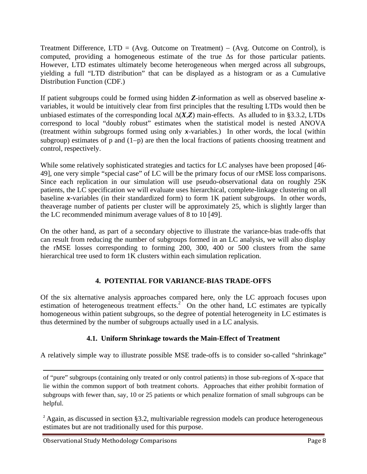Treatment Difference,  $LTD = (Avg. Outcome on Treatment) - (Avg. Outcome on Control)$ , is computed, providing a homogeneous estimate of the true  $\Delta s$  for those particular patients. However, LTD estimates ultimately become heterogeneous when merged across all subgroups, yielding a full "LTD distribution" that can be displayed as a histogram or as a Cumulative Distribution Function (CDF.)

If patient subgroups could be formed using hidden *Z*-information as well as observed baseline *x*variables, it would be intuitively clear from first principles that the resulting LTDs would then be unbiased estimates of the corresponding local  $\Delta(X,Z)$  main-effects. As alluded to in §3.3.2, LTDs correspond to local "doubly robust" estimates when the statistical model is nested ANOVA (treatment within subgroups formed using only *x*-variables.) In other words, the local (within subgroup) estimates of p and  $(1-p)$  are then the local fractions of patients choosing treatment and control, respectively.

While some relatively sophisticated strategies and tactics for LC analyses have been proposed [46- 49], one very simple "special case" of LC will be the primary focus of our rMSE loss comparisons. Since each replication in our simulation will use pseudo-observational data on roughly 25K patients, the LC specification we will evaluate uses hierarchical, complete-linkage clustering on all baseline *x*-variables (in their standardized form) to form 1K patient subgroups. In other words, theaverage number of patients per cluster will be approximately 25, which is slightly larger than the LC recommended minimum average values of 8 to 10 [49].

On the other hand, as part of a secondary objective to illustrate the variance-bias trade-offs that can result from reducing the number of subgroups formed in an LC analysis, we will also display the rMSE losses corresponding to forming 200, 300, 400 or 500 clusters from the same hierarchical tree used to form 1K clusters within each simulation replication.

## **4. POTENTIAL FOR VARIANCE-BIAS TRADE-OFFS**

Of the six alternative analysis approaches compared here, only the LC approach focuses upon estimation of heterogeneous treatment effects. $2^{\circ}$  On the other hand, LC estimates are typically homogeneous within patient subgroups, so the degree of potential heterogeneity in LC estimates is thus determined by the number of subgroups actually used in a LC analysis.

## **4.1. Uniform Shrinkage towards the Main-Effect of Treatment**

A relatively simple way to illustrate possible MSE trade-offs is to consider so-called "shrinkage"

<u> 1989 - Johann Stein, marwolaethau a gweledydd a ganlad y ganlad y ganlad y ganlad y ganlad y ganlad y ganlad</u>

of "pure" subgroups (containing only treated or only control patients) in those sub-regions of X-space that lie within the common support of both treatment cohorts. Approaches that either prohibit formation of subgroups with fewer than, say, 10 or 25 patients or which penalize formation of small subgroups can be helpful.

<sup>&</sup>lt;sup>2</sup> Again, as discussed in section §3.2, multivariable regression models can produce heterogeneous estimates but are not traditionally used for this purpose.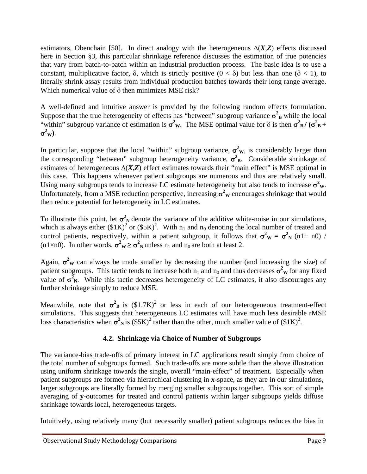estimators, Obenchain [50]. In direct analogy with the heterogeneous  $\Delta(X,Z)$  effects discussed here in Section §3, this particular shrinkage reference discusses the estimation of true potencies that vary from batch-to-batch within an industrial production process. The basic idea is to use a constant, multiplicative factor,  $\delta$ , which is strictly positive  $(0 < \delta)$  but less than one  $(\delta < 1)$ , to literally shrink assay results from individual production batches towards their long range average. Which numerical value of  $\delta$  then minimizes MSE risk?

A well-defined and intuitive answer is provided by the following random effects formulation. Suppose that the true heterogeneity of effects has "between" subgroup variance  $\sigma_B^2$  while the local "within" subgroup variance of estimation is  $\sigma^2 w$ . The MSE optimal value for  $\delta$  is then  $\sigma^2 B / (\sigma^2 B +$  $\sigma^2$ <sub>W</sub>).

In particular, suppose that the local "within" subgroup variance,  $\sigma^2$ <sub>W</sub>, is considerably larger than the corresponding "between" subgroup heterogeneity variance,  $\sigma^2$ <sub>B</sub>. Considerable shrinkage of estimates of heterogeneous  $\Delta(X,Z)$  effect estimates towards their "main effect" is MSE optimal in this case. This happens whenever patient subgroups are numerous and thus are relatively small. Using many subgroups tends to increase LC estimate heterogeneity but also tends to increase  $\sigma^2$ <sub>W</sub>. Unfortunately, from a MSE reduction perspective, increasing  $\sigma^2$ <sub>W</sub> encourages shrinkage that would then reduce potential for heterogeneity in LC estimates.

To illustrate this point, let  $\sigma_N^2$  denote the variance of the additive white-noise in our simulations, which is always either  $(\$1K)^2$  or  $(\$5K)^2$ . With  $n_1$  and  $n_0$  denoting the local number of treated and control patients, respectively, within a patient subgroup, it follows that  $\sigma^2 w = \sigma^2 N (n1+n0)$  / (n1×n0). In other words,  $\sigma^2 w \ge \sigma^2 w$  unless  $n_1$  and  $n_0$  are both at least 2.

Again,  $\sigma^2$ <sub>W</sub> can always be made smaller by decreasing the number (and increasing the size) of patient subgroups. This tactic tends to increase both  $n_1$  and  $n_0$  and thus decreases  $\sigma^2$ <sub>W</sub> for any fixed value of  $\sigma_N^2$ . While this tactic decreases heterogeneity of LC estimates, it also discourages any further shrinkage simply to reduce MSE.

Meanwhile, note that  $\sigma_B^2$  is  $(\$1.7K)^2$  or less in each of our heterogeneous treatment-effect simulations. This suggests that heterogeneous LC estimates will have much less desirable rMSE loss characteristics when  $\sigma_N^2$  is  $(\$5K)^2$  rather than the other, much smaller value of  $(\$1K)^2$ .

#### **4.2. Shrinkage via Choice of Number of Subgroups**

The variance-bias trade-offs of primary interest in LC applications result simply from choice of the total number of subgroups formed. Such trade-offs are more subtle than the above illustration using uniform shrinkage towards the single, overall "main-effect" of treatment. Especially when patient subgroups are formed via hierarchical clustering in *x*-space, as they are in our simulations, larger subgroups are literally formed by merging smaller subgroups together. This sort of simple averaging of **y**-outcomes for treated and control patients within larger subgroups yields diffuse shrinkage towards local, heterogeneous targets.

Intuitively, using relatively many (but necessarily smaller) patient subgroups reduces the bias in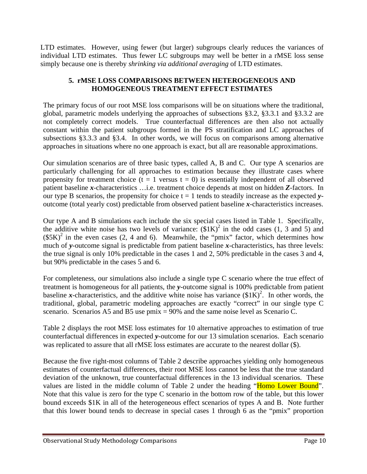LTD estimates. However, using fewer (but larger) subgroups clearly reduces the variances of individual LTD estimates. Thus fewer LC subgroups may well be better in a rMSE loss sense simply because one is thereby *shrinking via additional averaging* of LTD estimates.

#### **5. rMSE LOSS COMPARISONS BETWEEN HETEROGENEOUS AND HOMOGENEOUS TREATMENT EFFECT ESTIMATES**

The primary focus of our root MSE loss comparisons will be on situations where the traditional, global, parametric models underlying the approaches of subsections §3.2, §3.3.1 and §3.3.2 are not completely correct models. True counterfactual differences are then also not actually constant within the patient subgroups formed in the PS stratification and LC approaches of subsections §3.3.3 and §3.4. In other words, we will focus on comparisons among alternative approaches in situations where no one approach is exact, but all are reasonable approximations.

Our simulation scenarios are of three basic types, called A, B and C. Our type A scenarios are particularly challenging for all approaches to estimation because they illustrate cases where propensity for treatment choice  $(t = 1$  versus  $t = 0$ ) is essentially independent of all observed patient baseline *x*-characteristics …i.e. treatment choice depends at most on hidden *Z*-factors. In our type B scenarios, the propensity for choice  $t = 1$  tends to steadily increase as the expected  $y$ outcome (total yearly cost) predictable from observed patient baseline *x*-characteristics increases.

Our type A and B simulations each include the six special cases listed in Table 1. Specifically, the additive white noise has two levels of variance:  $(\$1K)^2$  in the odd cases (1, 3 and 5) and  $(\$5K)^2$  in the even cases (2, 4 and 6). Meanwhile, the "pmix" factor, which determines how much of y-outcome signal is predictable from patient baseline x-characteristics, has three levels: the true signal is only 10% predictable in the cases 1 and 2, 50% predictable in the cases 3 and 4, but 90% predictable in the cases 5 and 6.

For completeness, our simulations also include a single type C scenario where the true effect of treatment is homogeneous for all patients, the *y*-outcome signal is 100% predictable from patient baseline *x*-characteristics, and the additive white noise has variance  $(\$1K)^2$ . In other words, the traditional, global, parametric modeling approaches are exactly "correct" in our single type C scenario. Scenarios A5 and B5 use pmix = 90% and the same noise level as Scenario C.

Table 2 displays the root MSE loss estimates for 10 alternative approaches to estimation of true counterfactual differences in expected *y*-outcome for our 13 simulation scenarios. Each scenario was replicated to assure that all rMSE loss estimates are accurate to the nearest dollar (\$).

Because the five right-most columns of Table 2 describe approaches yielding only homogeneous estimates of counterfactual differences, their root MSE loss cannot be less that the true standard deviation of the unknown, true counterfactual differences in the 13 individual scenarios. These values are listed in the middle column of Table 2 under the heading "Homo Lower Bound". Note that this value is zero for the type C scenario in the bottom row of the table, but this lower bound exceeds \$1K in all of the heterogeneous effect scenarios of types A and B. Note further that this lower bound tends to decrease in special cases 1 through 6 as the "pmix" proportion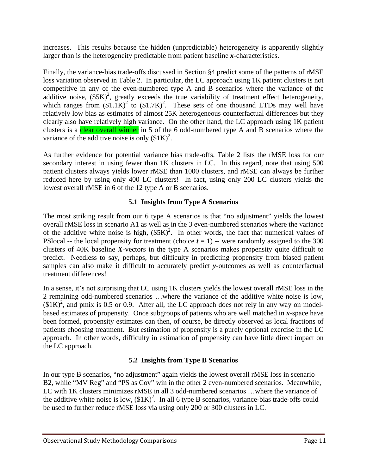increases. This results because the hidden (unpredictable) heterogeneity is apparently slightly larger than is the heterogeneity predictable from patient baseline *x*-characteristics.

Finally, the variance-bias trade-offs discussed in Section §4 predict some of the patterns of rMSE loss variation observed in Table 2. In particular, the LC approach using 1K patient clusters is not competitive in any of the even-numbered type A and B scenarios where the variance of the additive noise,  $(\$5K)^2$ , greatly exceeds the true variability of treatment effect heterogeneity, which ranges from  $(\$1.1K)^2$  to  $(\$1.7K)^2$ . These sets of one thousand LTDs may well have relatively low bias as estimates of almost 25K heterogeneous counterfactual differences but they clearly also have relatively high variance. On the other hand, the LC approach using 1K patient clusters is a clear overall winner in 5 of the 6 odd-numbered type A and B scenarios where the variance of the additive noise is only  $($1K)^2$ .

As further evidence for potential variance bias trade-offs, Table 2 lists the rMSE loss for our secondary interest in using fewer than 1K clusters in LC. In this regard, note that using 500 patient clusters always yields lower rMSE than 1000 clusters, and rMSE can always be further reduced here by using only 400 LC clusters! In fact, using only 200 LC clusters yields the lowest overall rMSE in 6 of the 12 type A or B scenarios.

#### **5.1 Insights from Type A Scenarios**

The most striking result from our 6 type A scenarios is that "no adjustment" yields the lowest overall rMSE loss in scenario A1 as well as in the 3 even-numbered scenarios where the variance of the additive white noise is high,  $(S5K)^2$ . In other words, the fact that numerical values of PSlocal -- the local propensity for treatment (choice  $t = 1$ ) -- were randomly assigned to the 300 clusters of 40K baseline *X*-vectors in the type A scenarios makes propensity quite difficult to predict. Needless to say, perhaps, but difficulty in predicting propensity from biased patient samples can also make it difficult to accurately predict *y*-outcomes as well as counterfactual treatment differences!

In a sense, it's not surprising that LC using 1K clusters yields the lowest overall rMSE loss in the 2 remaining odd-numbered scenarios …where the variance of the additive white noise is low,  $($1K)^2$$ , and pmix is 0.5 or 0.9. After all, the LC approach does not rely in any way on modelbased estimates of propensity. Once subgroups of patients who are well matched in *x*-space have been formed, propensity estimates can then, of course, be directly observed as local fractions of patients choosing treatment. But estimation of propensity is a purely optional exercise in the LC approach. In other words, difficulty in estimation of propensity can have little direct impact on the LC approach.

## **5.2 Insights from Type B Scenarios**

In our type B scenarios, "no adjustment" again yields the lowest overall rMSE loss in scenario B2, while "MV Reg" and "PS as Cov" win in the other 2 even-numbered scenarios. Meanwhile, LC with 1K clusters minimizes rMSE in all 3 odd-numbered scenarios …where the variance of the additive white noise is low,  $(\$1K)^2$ . In all 6 type B scenarios, variance-bias trade-offs could be used to further reduce rMSE loss via using only 200 or 300 clusters in LC.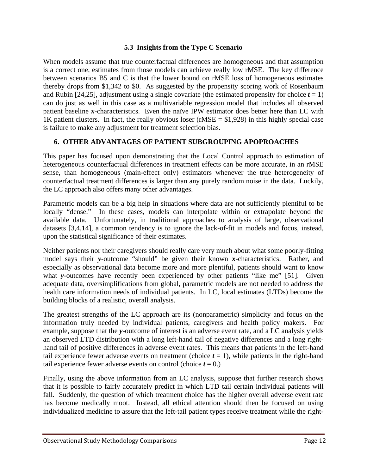#### **5.3 Insights from the Type C Scenario**

When models assume that true counterfactual differences are homogeneous and that assumption is a correct one, estimates from those models can achieve really low rMSE. The key difference between scenarios B5 and C is that the lower bound on rMSE loss of homogeneous estimates thereby drops from \$1,342 to \$0. As suggested by the propensity scoring work of Rosenbaum and Rubin [24,25], adjustment using a single covariate (the estimated propensity for choice  $t = 1$ ) can do just as well in this case as a multivariable regression model that includes all observed patient baseline *x*-characteristics. Even the naïve IPW estimator does better here than LC with 1K patient clusters. In fact, the really obvious loser (rMSE  $= $1,928$ ) in this highly special case is failure to make any adjustment for treatment selection bias.

#### **6. OTHER ADVANTAGES OF PATIENT SUBGROUPING APOPROACHES**

This paper has focused upon demonstrating that the Local Control approach to estimation of heterogeneous counterfactual differences in treatment effects can be more accurate, in an rMSE sense, than homogeneous (main-effect only) estimators whenever the true heterogeneity of counterfactual treatment differences is larger than any purely random noise in the data. Luckily, the LC approach also offers many other advantages.

Parametric models can be a big help in situations where data are not sufficiently plentiful to be locally "dense." In these cases, models can interpolate within or extrapolate beyond the available data. Unfortunately, in traditional approaches to analysis of large, observational datasets [3,4,14], a common tendency is to ignore the lack-of-fit in models and focus, instead, upon the statistical significance of their estimates.

Neither patients nor their caregivers should really care very much about what some poorly-fitting model says their *y*-outcome "should" be given their known *x*-characteristics. Rather, and especially as observational data become more and more plentiful, patients should want to know what *y*-outcomes have recently been experienced by other patients "like me" [51]. Given adequate data, oversimplifications from global, parametric models are not needed to address the health care information needs of individual patients. In LC, local estimates (LTDs) become the building blocks of a realistic, overall analysis.

The greatest strengths of the LC approach are its (nonparametric) simplicity and focus on the information truly needed by individual patients, caregivers and health policy makers. For example, suppose that the *y*-outcome of interest is an adverse event rate, and a LC analysis yields an observed LTD distribution with a long left-hand tail of negative differences and a long righthand tail of positive differences in adverse event rates. This means that patients in the left-hand tail experience fewer adverse events on treatment (choice  $t = 1$ ), while patients in the right-hand tail experience fewer adverse events on control (choice  $t = 0$ .)

Finally, using the above information from an LC analysis, suppose that further research shows that it is possible to fairly accurately predict in which LTD tail certain individual patients will fall. Suddenly, the question of which treatment choice has the higher overall adverse event rate has become medically moot. Instead, all ethical attention should then be focused on using individualized medicine to assure that the left-tail patient types receive treatment while the right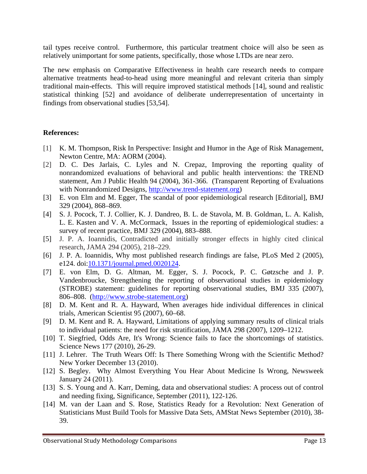tail types receive control. Furthermore, this particular treatment choice will also be seen as relatively unimportant for some patients, specifically, those whose LTDs are near zero.

The new emphasis on Comparative Effectiveness in health care research needs to compare alternative treatments head-to-head using more meaningful and relevant criteria than simply traditional main-effects. This will require improved statistical methods [14], sound and realistic statistical thinking [52] and avoidance of deliberate underrepresentation of uncertainty in findings from observational studies [53,54].

#### **References:**

- [1] K. M. Thompson, Risk In Perspective: Insight and Humor in the Age of Risk Management, Newton Centre, MA: AORM (2004).
- [2] D. C. Des Jarlais, C. Lyles and N. Crepaz, Improving the reporting quality of nonrandomized evaluations of behavioral and public health interventions: the TREND statement, Am J Public Health 94 (2004), 361-366. (Transparent Reporting of Evaluations with Nonrandomized Designs, http://www.trend-statement.org)
- [3] E. von Elm and M. Egger, The scandal of poor epidemiological research [Editorial], BMJ 329 (2004), 868–869.
- [4] S. J. Pocock, T. J. Collier, K. J. Dandreo, B. L. de Stavola, M. B. Goldman, L. A. Kalish, L. E. Kasten and V. A. McCormack, Issues in the reporting of epidemiological studies: a survey of recent practice, BMJ 329 (2004), 883–888.
- [5] J. P. A. Ioannidis, Contradicted and initially stronger effects in highly cited clinical research, JAMA 294 (2005), 218–229.
- [6] J. P. A. Ioannidis, Why most published research findings are false, PLoS Med 2 (2005), e124. doi: 10.1371/journal.pmed.0020124.
- [7] E. von Elm, D. G. Altman, M. Egger, S. J. Pocock, P. C. Gøtzsche and J. P. Vandenbroucke, Strengthening the reporting of observational studies in epidemiology (STROBE) statement: guidelines for reporting observational studies, BMJ 335 (2007), 806–808. (http://www.strobe-statement.org)
- [8] D. M. Kent and R. A. Hayward, When averages hide individual differences in clinical trials, American Scientist 95 (2007), 60–68.
- [9] D. M. Kent and R. A. Hayward, Limitations of applying summary results of clinical trials to individual patients: the need for risk stratification, JAMA 298 (2007), 1209–1212.
- [10] T. Siegfried, Odds Are, It's Wrong: Science fails to face the shortcomings of statistics. Science News 177 (2010), 26-29.
- [11] J. Lehrer. The Truth Wears Off: Is There Something Wrong with the Scientific Method? New Yorker December 13 (2010).
- [12] S. Begley. Why Almost Everything You Hear About Medicine Is Wrong, Newsweek January 24 (2011).
- [13] S. S. Young and A. Karr, Deming, data and observational studies: A process out of control and needing fixing, Significance, September (2011), 122-126.
- [14] M. van der Laan and S. Rose, Statistics Ready for a Revolution: Next Generation of Statisticians Must Build Tools for Massive Data Sets, AMStat News September (2010), 38- 39.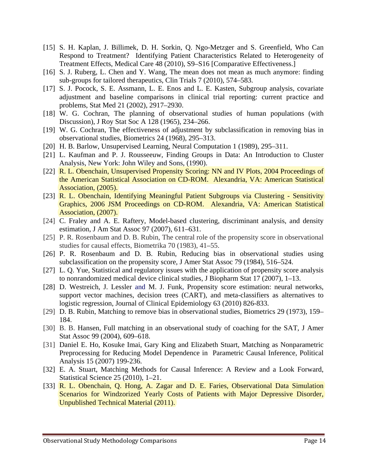- [15] S. H. Kaplan, J. Billimek, D. H. Sorkin, Q. Ngo-Metzger and S. Greenfield, Who Can Respond to Treatment? Identifying Patient Characteristics Related to Heterogeneity of Treatment Effects, Medical Care 48 (2010), S9–S16 [Comparative Effectiveness.]
- [16] S. J. Ruberg, L. Chen and Y. Wang, The mean does not mean as much anymore: finding sub-groups for tailored therapeutics, Clin Trials 7 (2010), 574–583.
- [17] S. J. Pocock, S. E. Assmann, L. E. Enos and L. E. Kasten, Subgroup analysis, covariate adjustment and baseline comparisons in clinical trial reporting: current practice and problems, Stat Med 21 (2002), 2917–2930.
- [18] W. G. Cochran, The planning of observational studies of human populations (with Discussion), J Roy Stat Soc A 128 (1965), 234–266.
- [19] W. G. Cochran, The effectiveness of adjustment by subclassification in removing bias in observational studies, Biometrics 24 (1968), 295–313.
- [20] H. B. Barlow, Unsupervised Learning, Neural Computation 1 (1989), 295–311.
- [21] L. Kaufman and P. J. Rousseeuw, Finding Groups in Data: An Introduction to Cluster Analysis, New York: John Wiley and Sons, (1990).
- [22] R. L. Obenchain, Unsupervised Propensity Scoring: NN and IV Plots, 2004 Proceedings of the American Statistical Association on CD-ROM. Alexandria, VA: American Statistical Association, (2005).
- [23] R. L. Obenchain, Identifying Meaningful Patient Subgroups via Clustering Sensitivity Graphics, 2006 JSM Proceedings on CD-ROM. Alexandria, VA: American Statistical Association, (2007).
- [24] C. Fraley and A. E. Raftery, Model-based clustering, discriminant analysis, and density estimation, J Am Stat Assoc 97 (2007), 611–631.
- [25] P. R. Rosenbaum and D. B. Rubin, The central role of the propensity score in observational studies for causal effects, Biometrika 70 (1983), 41–55.
- [26] P. R. Rosenbaum and D. B. Rubin, Reducing bias in observational studies using subclassification on the propensity score, J Amer Stat Assoc 79 (1984), 516–524.
- [27] L. O. Yue, Statistical and regulatory issues with the application of propensity score analysis to nonrandomized medical device clinical studies, J Biopharm Stat 17 (2007), 1–13.
- [28] D. Westreich, J. Lessler and M. J. Funk, Propensity score estimation: neural networks, support vector machines, decision trees (CART), and meta-classifiers as alternatives to logistic regression, Journal of Clinical Epidemiology 63 (2010) 826-833.
- [29] D. B. Rubin, Matching to remove bias in observational studies, Biometrics 29 (1973), 159– 184.
- [30] B. B. Hansen, Full matching in an observational study of coaching for the SAT, J Amer Stat Assoc 99 (2004), 609–618.
- [31] Daniel E. Ho, Kosuke Imai, Gary King and Elizabeth Stuart, Matching as Nonparametric Preprocessing for Reducing Model Dependence in Parametric Causal Inference, Political Analysis 15 (2007) 199-236.
- [32] E. A. Stuart, Matching Methods for Causal Inference: A Review and a Look Forward, Statistical Science 25 (2010), 1–21.
- [33] R. L. Obenchain, Q. Hong, A. Zagar and D. E. Faries, Observational Data Simulation Scenarios for Windzorized Yearly Costs of Patients with Major Depressive Disorder, Unpublished Technical Material (2011).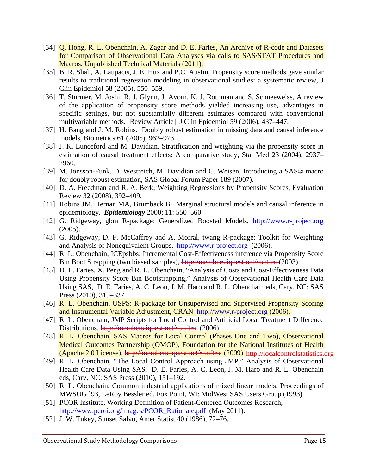- [34] Q. Hong, R. L. Obenchain, A. Zagar and D. E. Faries, An Archive of R-code and Datasets for Comparison of Observational Data Analyses via calls to SAS/STAT Procedures and Macros, Unpublished Technical Materials (2011).
- [35] B. R. Shah, A. Laupacis, J. E. Hux and P.C. Austin, Propensity score methods gave similar results to traditional regression modeling in observational studies: a systematic review, J Clin Epidemiol 58 (2005), 550–559.
- [36] T. Stürmer, M. Joshi, R. J. Glynn, J. Avorn, K. J. Rothman and S. Schneeweiss, A review of the application of propensity score methods yielded increasing use, advantages in specific settings, but not substantially different estimates compared with conventional multivariable methods. [Review Article] J Clin Epidemiol 59 (2006), 437–447.
- [37] H. Bang and J. M. Robins. Doubly robust estimation in missing data and causal inference models, Biometrics 61 (2005), 962–973.
- [38] J. K. Lunceford and M. Davidian, Stratification and weighting via the propensity score in estimation of causal treatment effects: A comparative study, Stat Med 23 (2004), 2937– 2960.
- [39] M. Jonsson-Funk, D. Westreich, M. Davidian and C. Weisen, Introducing a SAS® macro for doubly robust estimation, SAS Global Forum Paper 189 (2007).
- [40] D. A. Freedman and R. A. Berk, Weighting Regressions by Propensity Scores, Evaluation Review 32 (2008), 392–409.
- [41] Robins JM, Hernan MA, Brumback B. Marginal structural models and causal inference in epidemiology. *Epidemiology* 2000; 11: 550–560.
- [42] G. Ridgeway, gbm R-package: Generalized Boosted Models, http://www.r-project.org (2005).
- [43] G. Ridgeway, D. F. McCaffrey and A. Morral, twang R-package: Toolkit for Weighting and Analysis of Nonequivalent Groups. http://www.r-project.org (2006).
- [44] R. L. Obenchain, ICEpsbbs: Incremental Cost-Effectiveness inference via Propensity Score Bin Boot Strapping (two biased samples), http://members.iquest.net/~softrx (2003).
- [45] D. E. Faries, X. Peng and R. L. Obenchain, "Analysis of Costs and Cost-Effectiveness Data Using Propensity Score Bin Bootstrapping," Analysis of Observational Health Care Data Using SAS, D. E. Faries, A. C. Leon, J. M. Haro and R. L. Obenchain eds, Cary, NC: SAS Press (2010), 315–337.
- [46] R. L. Obenchain, USPS: R-package for Unsupervised and Supervised Propensity Scoring and Instrumental Variable Adjustment, CRAN http://www.r-project.org (2006).
- [47] R. L. Obenchain, JMP Scripts for Local Control and Artificial Local Treatment Difference Distributions, http://members.iquest.net/~softrx (2006).
- [48] R. L. Obenchain, SAS Macros for Local Control (Phases One and Two), Observational Medical Outcomes Partnership (OMOP), Foundation for the National Institutes of Health (Apache 2.0 License), http://members.iquest.net/~softrx (2009). http://localcontrolstatistics.org
- [49] R. L. Obenchain, "The Local Control Approach using JMP," Analysis of Observational Health Care Data Using SAS, D. E. Faries, A. C. Leon, J. M. Haro and R. L. Obenchain eds, Cary, NC: SAS Press (2010), 151–192.
- [50] R. L. Obenchain, Common industrial applications of mixed linear models, Proceedings of MWSUG `93, LeRoy Bessler ed, Fox Point, WI: MidWest SAS Users Group (1993).
- [51] PCOR Institute, Working Definition of Patient-Centered Outcomes Research, http://www.pcori.org/images/PCOR\_Rationale.pdf (May 2011).
- [52] J. W. Tukey, Sunset Salvo, Amer Statist 40 (1986), 72–76.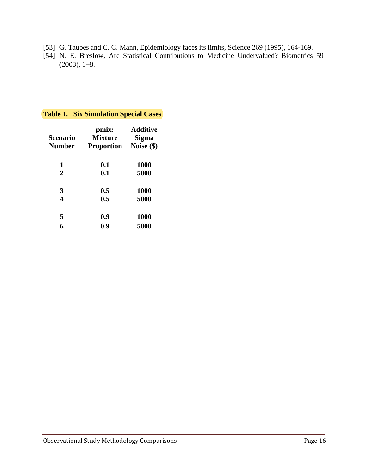- [53] G. Taubes and C. C. Mann, Epidemiology faces its limits, Science 269 (1995), 164-169.
- [54] N, E. Breslow, Are Statistical Contributions to Medicine Undervalued? Biometrics 59  $(2003), 1-8.$

#### **Table 1. Six Simulation Special Cases**

| Scenario<br><b>Number</b> | pmix:<br><b>Mixture</b><br>Proportion | Additive<br><b>Sigma</b><br>Noise $(\$)$ |  |  |  |
|---------------------------|---------------------------------------|------------------------------------------|--|--|--|
| 1                         | 0.1                                   | <b>1000</b>                              |  |  |  |
| $\overline{2}$            | 0.1                                   | 5000                                     |  |  |  |
| 3                         | 0.5                                   | <b>1000</b>                              |  |  |  |
| $\overline{\mathbf{4}}$   | 0.5                                   | 5000                                     |  |  |  |
| 5                         | 0.9                                   | 1000                                     |  |  |  |
| 6                         | 0.9                                   | 5000                                     |  |  |  |
|                           |                                       |                                          |  |  |  |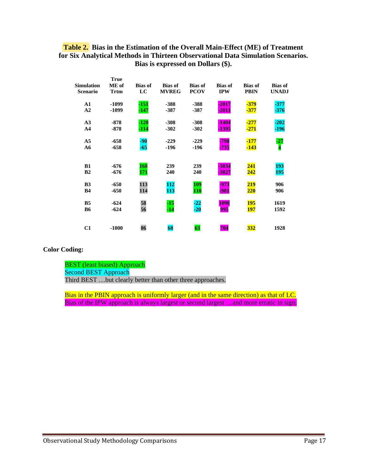#### **Table 2. Bias in the Estimation of the Overall Main-Effect (ME) of Treatment for Six Analytical Methods in Thirteen Observational Data Simulation Scenarios. Bias is expressed on Dollars (\$).**

|                                      | rrue                 |                      |                                |                               |                              |                               |                                |
|--------------------------------------|----------------------|----------------------|--------------------------------|-------------------------------|------------------------------|-------------------------------|--------------------------------|
| <b>Simulation</b><br><b>Scenario</b> | ME of<br><b>Trtm</b> | <b>Bias of</b><br>LC | <b>Bias of</b><br><b>MVREG</b> | <b>Bias of</b><br><b>PCOV</b> | <b>Bias of</b><br><b>IPW</b> | <b>Bias of</b><br><b>PBIN</b> | <b>Bias of</b><br><b>UNADJ</b> |
| $\mathbf{A1}$                        | $-1099$              | $-151$               | $-388$                         | $-388$                        | $-2017$                      | $-379$                        | $-377$                         |
| A2                                   | -1099                | $-147$               | $-387$                         | $-387$                        | $-2011$                      | $-377$                        | $-376$                         |
| A <sub>3</sub>                       | $-878$               | $-120$               | $-308$                         | $-308$                        | $-1404$                      | $-277$                        | $-202$                         |
| A <sub>4</sub>                       | $-878$               | $-114$               | $-302$                         | $-302$                        | -1395                        | $-271$                        | $-196$                         |
| A <sub>5</sub>                       | $-658$               | $-90$                | $-229$                         | $-229$                        | -798                         | $-177$                        | $-27$                          |
| A6                                   | $-658$               | $-65$                | $-196$                         | $-196$                        | $-735$                       | $-143$                        | $\overline{\mathbf{4}}$        |
|                                      |                      |                      |                                |                               |                              |                               |                                |
| B1                                   | $-676$               | 168                  | 239                            | 239                           | $-3034$                      | 241                           | 193                            |
| B <sub>2</sub>                       | -676                 | 171                  | 240                            | 240                           | $-3027$                      | <u>242</u>                    | <b>195</b>                     |
| B <sub>3</sub>                       | $-650$               | 113                  | 112                            | 109                           | $-973$                       | 219                           | 906                            |
| <b>B4</b>                            | $-650$               | 114                  | 113                            | <b>110</b>                    | -981                         | 220                           | 906                            |
| B <sub>5</sub>                       | $-624$               | 58                   | $-15$                          | $-22$                         | <b>1090</b>                  | <b>195</b>                    | 1619                           |
| <b>B6</b>                            | $-624$               | 56                   | $-14$                          | $-20$                         | 995                          | 197                           | 1592                           |
|                                      |                      |                      |                                |                               |                              |                               |                                |
| C1                                   | $-1000$              | 86                   | 68                             | 63                            | 704                          | 332                           | 1928                           |

#### **Color Coding:**

BEST (least biased) Approach Second BEST Approach Third BEST …but clearly better than other three approaches.

**True** 

 Bias in the PBIN approach is uniformly larger (and in the same direction) as that of LC. Bias of the IPW approach is always largest or second largest …and more erratic in sign.